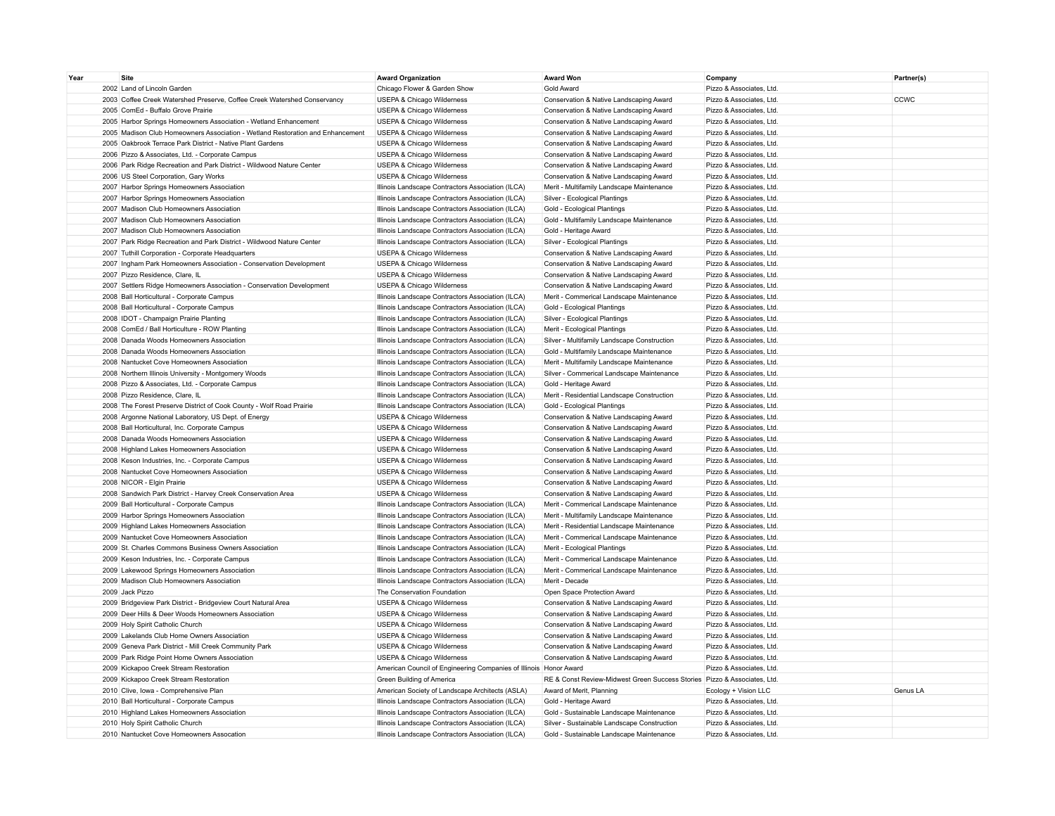| Year | <b>Site</b>                                                                    | <b>Award Organization</b>                                         | <b>Award Won</b>                                                         | Company                  | Partner(s) |
|------|--------------------------------------------------------------------------------|-------------------------------------------------------------------|--------------------------------------------------------------------------|--------------------------|------------|
|      | 2002 Land of Lincoln Garden                                                    | Chicago Flower & Garden Show                                      | Gold Award                                                               | Pizzo & Associates, Ltd. |            |
|      | 2003 Coffee Creek Watershed Preserve, Coffee Creek Watershed Conservancy       | USEPA & Chicago Wilderness                                        | Conservation & Native Landscaping Award                                  | Pizzo & Associates, Ltd. | CCWC       |
|      | 2005 ComEd - Buffalo Grove Prairie                                             | USEPA & Chicago Wilderness                                        | Conservation & Native Landscaping Award                                  | Pizzo & Associates, Ltd. |            |
|      | 2005 Harbor Springs Homeowners Association - Wetland Enhancement               | USEPA & Chicago Wilderness                                        | Conservation & Native Landscaping Award                                  | Pizzo & Associates, Ltd. |            |
|      | 2005 Madison Club Homeowners Association - Wetland Restoration and Enhancement | USEPA & Chicago Wilderness                                        | Conservation & Native Landscaping Award                                  | Pizzo & Associates, Ltd. |            |
|      | 2005 Oakbrook Terrace Park District - Native Plant Gardens                     | USEPA & Chicago Wilderness                                        | Conservation & Native Landscaping Award                                  | Pizzo & Associates, Ltd. |            |
|      | 2006 Pizzo & Associates, Ltd. - Corporate Campus                               | USEPA & Chicago Wilderness                                        | Conservation & Native Landscaping Award                                  | Pizzo & Associates, Ltd. |            |
|      | 2006 Park Ridge Recreation and Park District - Wildwood Nature Center          | USEPA & Chicago Wilderness                                        | Conservation & Native Landscaping Award                                  | Pizzo & Associates, Ltd. |            |
|      | 2006 US Steel Corporation, Gary Works                                          | USEPA & Chicago Wilderness                                        | Conservation & Native Landscaping Award                                  | Pizzo & Associates, Ltd. |            |
|      | 2007 Harbor Springs Homeowners Association                                     | Illinois Landscape Contractors Association (ILCA)                 | Merit - Multifamily Landscape Maintenance                                | Pizzo & Associates, Ltd. |            |
|      | 2007 Harbor Springs Homeowners Association                                     | Illinois Landscape Contractors Association (ILCA)                 | Silver - Ecological Plantings                                            | Pizzo & Associates, Ltd. |            |
|      | 2007 Madison Club Homeowners Association                                       | Illinois Landscape Contractors Association (ILCA)                 | Gold - Ecological Plantings                                              | Pizzo & Associates, Ltd. |            |
|      | 2007 Madison Club Homeowners Association                                       | Illinois Landscape Contractors Association (ILCA)                 | Gold - Multifamily Landscape Maintenance                                 | Pizzo & Associates, Ltd. |            |
|      | 2007 Madison Club Homeowners Association                                       | Illinois Landscape Contractors Association (ILCA)                 | Gold - Heritage Award                                                    | Pizzo & Associates, Ltd. |            |
|      | 2007 Park Ridge Recreation and Park District - Wildwood Nature Center          | Illinois Landscape Contractors Association (ILCA)                 | Silver - Ecological Plantings                                            | Pizzo & Associates, Ltd. |            |
|      | 2007 Tuthill Corporation - Corporate Headquarters                              | USEPA & Chicago Wilderness                                        | Conservation & Native Landscaping Award                                  | Pizzo & Associates, Ltd. |            |
|      | 2007 Ingham Park Homeowners Association - Conservation Development             | USEPA & Chicago Wilderness                                        | Conservation & Native Landscaping Award                                  | Pizzo & Associates, Ltd. |            |
|      | 2007 Pizzo Residence, Clare, IL                                                | USEPA & Chicago Wilderness                                        | Conservation & Native Landscaping Award                                  | Pizzo & Associates, Ltd. |            |
|      | 2007 Settlers Ridge Homeowners Association - Conservation Development          | USEPA & Chicago Wilderness                                        | Conservation & Native Landscaping Award                                  | Pizzo & Associates, Ltd. |            |
|      | 2008 Ball Horticultural - Corporate Campus                                     | Illinois Landscape Contractors Association (ILCA)                 | Merit - Commerical Landscape Maintenance                                 | Pizzo & Associates, Ltd. |            |
|      | 2008 Ball Horticultural - Corporate Campus                                     | Illinois Landscape Contractors Association (ILCA)                 | Gold - Ecological Plantings                                              | Pizzo & Associates, Ltd. |            |
|      | 2008 IDOT - Champaign Prairie Planting                                         | Illinois Landscape Contractors Association (ILCA)                 | Silver - Ecological Plantings                                            | Pizzo & Associates, Ltd. |            |
|      | 2008 ComEd / Ball Horticulture - ROW Planting                                  | Illinois Landscape Contractors Association (ILCA)                 | Merit - Ecological Plantings                                             | Pizzo & Associates, Ltd. |            |
|      | 2008 Danada Woods Homeowners Association                                       | Illinois Landscape Contractors Association (ILCA)                 | Silver - Multifamily Landscape Construction                              | Pizzo & Associates, Ltd. |            |
|      | 2008 Danada Woods Homeowners Association                                       | Illinois Landscape Contractors Association (ILCA)                 | Gold - Multifamily Landscape Maintenance                                 | Pizzo & Associates, Ltd. |            |
|      | 2008 Nantucket Cove Homeowners Association                                     | Illinois Landscape Contractors Association (ILCA)                 | Merit - Multifamily Landscape Maintenance                                | Pizzo & Associates, Ltd. |            |
|      | 2008 Northern Illinois University - Montgomery Woods                           | Illinois Landscape Contractors Association (ILCA)                 | Silver - Commerical Landscape Maintenance                                | Pizzo & Associates, Ltd. |            |
|      | 2008 Pizzo & Associates, Ltd. - Corporate Campus                               | Illinois Landscape Contractors Association (ILCA)                 | Gold - Heritage Award                                                    | Pizzo & Associates, Ltd. |            |
|      | 2008 Pizzo Residence, Clare, IL                                                | Illinois Landscape Contractors Association (ILCA)                 | Merit - Residential Landscape Construction                               | Pizzo & Associates, Ltd. |            |
|      | 2008 The Forest Preserve District of Cook County - Wolf Road Prairie           | Illinois Landscape Contractors Association (ILCA)                 | Gold - Ecological Plantings                                              | Pizzo & Associates, Ltd. |            |
|      | 2008 Argonne National Laboratory, US Dept. of Energy                           | USEPA & Chicago Wilderness                                        | Conservation & Native Landscaping Award                                  | Pizzo & Associates, Ltd. |            |
|      | 2008 Ball Horticultural, Inc. Corporate Campus                                 | USEPA & Chicago Wilderness                                        | Conservation & Native Landscaping Award                                  | Pizzo & Associates, Ltd. |            |
|      | 2008 Danada Woods Homeowners Association                                       | USEPA & Chicago Wilderness                                        | Conservation & Native Landscaping Award                                  | Pizzo & Associates, Ltd. |            |
|      | 2008 Highland Lakes Homeowners Association                                     | USEPA & Chicago Wilderness                                        | Conservation & Native Landscaping Award                                  | Pizzo & Associates, Ltd. |            |
|      | 2008 Keson Industries, Inc. - Corporate Campus                                 | USEPA & Chicago Wilderness                                        | Conservation & Native Landscaping Award                                  | Pizzo & Associates, Ltd. |            |
|      | 2008 Nantucket Cove Homeowners Association                                     | USEPA & Chicago Wilderness                                        | Conservation & Native Landscaping Award                                  | Pizzo & Associates, Ltd. |            |
|      | 2008 NICOR - Elgin Prairie                                                     | USEPA & Chicago Wilderness                                        | Conservation & Native Landscaping Award                                  | Pizzo & Associates, Ltd. |            |
|      | 2008 Sandwich Park District - Harvey Creek Conservation Area                   | USEPA & Chicago Wilderness                                        | Conservation & Native Landscaping Award                                  | Pizzo & Associates, Ltd. |            |
|      | 2009 Ball Horticultural - Corporate Campus                                     | Illinois Landscape Contractors Association (ILCA)                 | Merit - Commerical Landscape Maintenance                                 | Pizzo & Associates, Ltd. |            |
|      | 2009 Harbor Springs Homeowners Association                                     | Illinois Landscape Contractors Association (ILCA)                 | Merit - Multifamily Landscape Maintenance                                | Pizzo & Associates, Ltd. |            |
|      | 2009 Highland Lakes Homeowners Association                                     | Illinois Landscape Contractors Association (ILCA)                 | Merit - Residential Landscape Maintenance                                | Pizzo & Associates, Ltd. |            |
|      | 2009 Nantucket Cove Homeowners Association                                     | Illinois Landscape Contractors Association (ILCA)                 | Merit - Commerical Landscape Maintenance                                 | Pizzo & Associates, Ltd. |            |
|      | 2009 St. Charles Commons Business Owners Association                           | Illinois Landscape Contractors Association (ILCA)                 | Merit - Ecological Plantings                                             | Pizzo & Associates, Ltd. |            |
|      | 2009 Keson Industries, Inc. - Corporate Campus                                 | Illinois Landscape Contractors Association (ILCA)                 | Merit - Commerical Landscape Maintenance                                 | Pizzo & Associates, Ltd. |            |
|      | 2009 Lakewood Springs Homeowners Association                                   | Illinois Landscape Contractors Association (ILCA)                 | Merit - Commerical Landscape Maintenance                                 | Pizzo & Associates, Ltd. |            |
|      | 2009 Madison Club Homeowners Association                                       | Illinois Landscape Contractors Association (ILCA)                 | Merit - Decade                                                           | Pizzo & Associates, Ltd. |            |
|      | 2009 Jack Pizzo                                                                | The Conservation Foundation                                       | Open Space Protection Award                                              | Pizzo & Associates, Ltd. |            |
|      | 2009 Bridgeview Park District - Bridgeview Court Natural Area                  | USEPA & Chicago Wilderness                                        | Conservation & Native Landscaping Award                                  | Pizzo & Associates, Ltd. |            |
|      | 2009 Deer Hills & Deer Woods Homeowners Association                            | USEPA & Chicago Wilderness                                        | Conservation & Native Landscaping Award                                  | Pizzo & Associates, Ltd. |            |
|      | 2009 Holy Spirit Catholic Church                                               | USEPA & Chicago Wilderness                                        | Conservation & Native Landscaping Award                                  | Pizzo & Associates, Ltd. |            |
|      | 2009 Lakelands Club Home Owners Association                                    | USEPA & Chicago Wilderness                                        | Conservation & Native Landscaping Award                                  | Pizzo & Associates, Ltd. |            |
|      | 2009 Geneva Park District - Mill Creek Community Park                          | USEPA & Chicago Wilderness                                        | Conservation & Native Landscaping Award                                  | Pizzo & Associates, Ltd. |            |
|      | 2009 Park Ridge Point Home Owners Association                                  | USEPA & Chicago Wilderness                                        | Conservation & Native Landscaping Award                                  | Pizzo & Associates, Ltd. |            |
|      | 2009 Kickapoo Creek Stream Restoration                                         | American Council of Engineering Companies of Illinois Honor Award |                                                                          | Pizzo & Associates, Ltd. |            |
|      | 2009 Kickapoo Creek Stream Restoration                                         | Green Building of America                                         | RE & Const Review-Midwest Green Success Stories Pizzo & Associates, Ltd. |                          |            |
|      | 2010 Clive, Iowa - Comprehensive Plan                                          | American Society of Landscape Architects (ASLA)                   | Award of Merit, Planning                                                 | Ecology + Vision LLC     | Genus LA   |
|      | 2010 Ball Horticultural - Corporate Campus                                     | Illinois Landscape Contractors Association (ILCA)                 | Gold - Heritage Award                                                    | Pizzo & Associates, Ltd. |            |
|      |                                                                                |                                                                   |                                                                          | Pizzo & Associates, Ltd. |            |
|      | 2010 Highland Lakes Homeowners Association                                     | Illinois Landscape Contractors Association (ILCA)                 | Gold - Sustainable Landscape Maintenance                                 | Pizzo & Associates, Ltd. |            |
|      | 2010 Holy Spirit Catholic Church                                               | Illinois Landscape Contractors Association (ILCA)                 | Silver - Sustainable Landscape Construction                              | Pizzo & Associates, Ltd. |            |
|      | 2010 Nantucket Cove Homeowners Assocation                                      | Illinois Landscape Contractors Association (ILCA)                 | Gold - Sustainable Landscape Maintenance                                 |                          |            |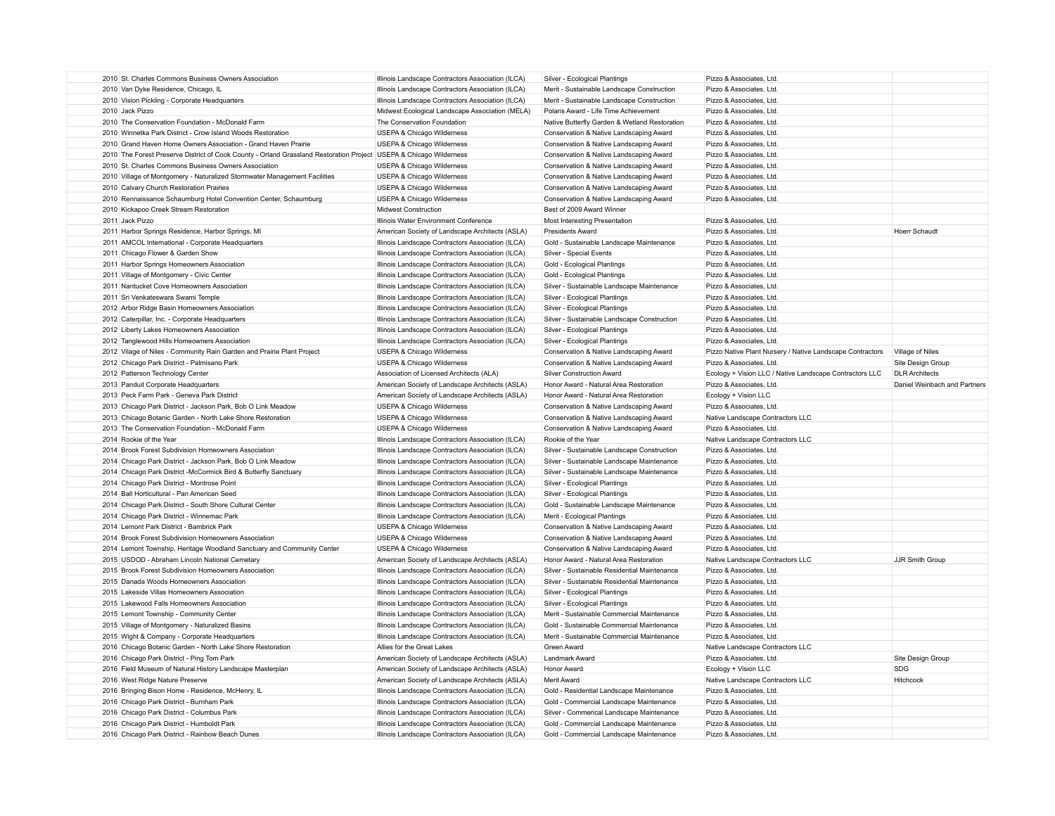| 2010 St. Charles Commons Business Owners Association                                                               | Illinois Landscape Contractors Association (ILCA)                                                      | Silver - Ecological Plantings                                                      | Pizzo & Associates, Ltd                                   |                              |
|--------------------------------------------------------------------------------------------------------------------|--------------------------------------------------------------------------------------------------------|------------------------------------------------------------------------------------|-----------------------------------------------------------|------------------------------|
| 2010 Van Dyke Residence, Chicago, IL                                                                               | Illinois Landscape Contractors Association (ILCA)                                                      | Merit - Sustainable Landscape Construction                                         | Pizzo & Associates, Ltd.                                  |                              |
| 2010 Vision Pickling - Corporate Headquarters                                                                      | Illinois Landscape Contractors Association (ILCA)                                                      | Merit - Sustainable Landscape Construction                                         | Pizzo & Associates, Ltd.                                  |                              |
| 2010 Jack Pizzo                                                                                                    | Midwest Ecological Landscape Association (MELA)                                                        | Polaris Award - Life Time Achievement                                              | Pizzo & Associates, Ltd.                                  |                              |
| 2010 The Conservation Foundation - McDonald Farm                                                                   | The Conservation Foundation                                                                            | Native Butterfly Garden & Wetland Restoration                                      | Pizzo & Associates, Ltd.                                  |                              |
| 2010 Winnetka Park District - Crow Island Woods Restoration                                                        | <b>USEPA &amp; Chicago Wilderness</b>                                                                  | Conservation & Native Landscaping Award                                            | Pizzo & Associates, Ltd.                                  |                              |
| 2010 Grand Haven Home Owners Association - Grand Haven Prairie                                                     | <b>USEPA &amp; Chicago Wilderness</b>                                                                  | Conservation & Native Landscaping Award                                            | Pizzo & Associates, Ltd.                                  |                              |
| 2010 The Forest Preserve District of Cook County - Orland Grassland Restoration Project USEPA & Chicago Wilderness |                                                                                                        | Conservation & Native Landscaping Award                                            | Pizzo & Associates, Ltd.                                  |                              |
| 2010 St. Charles Commons Business Owners Association                                                               | USEPA & Chicago Wilderness                                                                             | Conservation & Native Landscaping Award                                            | Pizzo & Associates, Ltd.                                  |                              |
| 2010 Village of Montgomery - Naturalized Stormwater Management Facilities                                          | USEPA & Chicago Wilderness                                                                             | Conservation & Native Landscaping Award                                            | Pizzo & Associates, Ltd.                                  |                              |
| 2010 Calvary Church Restoration Prairies                                                                           | USEPA & Chicago Wilderness                                                                             | Conservation & Native Landscaping Award                                            | Pizzo & Associates, Ltd.                                  |                              |
| 2010 Rennaissance Schaumburg Hotel Convention Center, Schaumburg                                                   | USEPA & Chicago Wilderness                                                                             | Conservation & Native Landscaping Award                                            | Pizzo & Associates, Ltd.                                  |                              |
| 2010 Kickapoo Creek Stream Restoration                                                                             | Midwest Construction                                                                                   | Best of 2009 Award Winner                                                          |                                                           |                              |
| 2011 Jack Pizzo                                                                                                    | Illinois Water Environment Conference                                                                  | Most Interesting Presentation                                                      | Pizzo & Associates, Ltd.                                  |                              |
| 2011 Harbor Springs Residence, Harbor Springs, MI                                                                  | American Society of Landscape Architects (ASLA)                                                        | <b>Presidents Award</b>                                                            | Pizzo & Associates, Ltd.                                  | Hoerr Schaudt                |
| 2011 AMCOL International - Corporate Headquarters                                                                  | Illinois Landscape Contractors Association (ILCA)                                                      | Gold - Sustainable Landscape Maintenance                                           | Pizzo & Associates, Ltd.                                  |                              |
| 2011 Chicago Flower & Garden Show                                                                                  | Illinois Landscape Contractors Association (ILCA)                                                      | Silver - Special Events                                                            | Pizzo & Associates, Ltd.                                  |                              |
| 2011 Harbor Springs Homeowners Association                                                                         | Illinois Landscape Contractors Association (ILCA)                                                      |                                                                                    | Pizzo & Associates, Ltd.                                  |                              |
|                                                                                                                    |                                                                                                        | Gold - Ecological Plantings                                                        |                                                           |                              |
| 2011 Village of Montgomery - Civic Center                                                                          | Illinois Landscape Contractors Association (ILCA)                                                      | Gold - Ecological Plantings                                                        | Pizzo & Associates, Ltd.                                  |                              |
| 2011 Nantucket Cove Homeowners Association                                                                         | Illinois Landscape Contractors Association (ILCA)                                                      | Silver - Sustainable Landscape Maintenance                                         | Pizzo & Associates, Ltd.                                  |                              |
| 2011 Sri Venkateswara Swami Temple                                                                                 | Illinois Landscape Contractors Association (ILCA)                                                      | Silver - Ecological Plantings                                                      | Pizzo & Associates, Ltd.                                  |                              |
| 2012 Arbor Ridge Basin Homeowners Association                                                                      | Illinois Landscape Contractors Association (ILCA)                                                      | Silver - Ecological Plantings                                                      | Pizzo & Associates, Ltd.                                  |                              |
| 2012 Caterpillar, Inc. - Corporate Headquarters                                                                    | Illinois Landscape Contractors Association (ILCA)                                                      | Silver - Sustainable Landscape Construction                                        | Pizzo & Associates, Ltd.                                  |                              |
| 2012 Liberty Lakes Homeowners Association                                                                          | Illinois Landscape Contractors Association (ILCA)                                                      | Silver - Ecological Plantings                                                      | Pizzo & Associates, Ltd.                                  |                              |
| 2012 Tanglewood Hills Homeowners Association                                                                       | Illinois Landscape Contractors Association (ILCA)                                                      | Silver - Ecological Plantings                                                      | Pizzo & Associates, Ltd.                                  |                              |
| 2012 Vilage of Niles - Community Rain Garden and Prairie Plant Project                                             | USEPA & Chicago Wilderness                                                                             | Conservation & Native Landscaping Award                                            | Pizzo Native Plant Nursery / Native Landscape Contractors | Village of Niles             |
| 2012 Chicago Park District - Palmisano Park                                                                        | USEPA & Chicago Wilderness                                                                             | Conservation & Native Landscaping Award                                            | Pizzo & Associates, Ltd.                                  | Site Design Group            |
| 2012 Patterson Technology Center                                                                                   | Association of Licensed Architects (ALA)                                                               | <b>Silver Construction Award</b>                                                   | Ecology + Vision LLC / Native Landscape Contractors LLC   | <b>DLR Architects</b>        |
| 2013 Panduit Corporate Headquarters                                                                                | American Society of Landscape Architects (ASLA)                                                        | Honor Award - Natural Area Restoration                                             | Pizzo & Associates, Ltd.                                  | Daniel Weinbach and Partners |
| 2013 Peck Farm Park - Geneva Park District                                                                         | American Society of Landscape Architects (ASLA)                                                        | Honor Award - Natural Area Restoration                                             | Ecology + Vision LLC                                      |                              |
| 2013 Chicago Park District - Jackson Park, Bob O Link Meadow                                                       | USEPA & Chicago Wilderness                                                                             | Conservation & Native Landscaping Award                                            | Pizzo & Associates, Ltd.                                  |                              |
| 2013 Chicago Botanic Garden - North Lake Shore Restoration                                                         | USEPA & Chicago Wilderness                                                                             | Conservation & Native Landscaping Award                                            | Native Landscape Contractors LLC                          |                              |
| 2013 The Conservation Foundation - McDonald Farm                                                                   | USEPA & Chicago Wilderness                                                                             | Conservation & Native Landscaping Award                                            | Pizzo & Associates, Ltd.                                  |                              |
| 2014 Rookie of the Year                                                                                            | Illinois Landscape Contractors Association (ILCA)                                                      | Rookie of the Year                                                                 | Native Landscape Contractors LLC                          |                              |
| 2014 Brook Forest Subdivision Homeowners Association                                                               | Illinois Landscape Contractors Association (ILCA)                                                      | Silver - Sustainable Landscape Construction                                        | Pizzo & Associates, Ltd.                                  |                              |
| 2014 Chicago Park District - Jackson Park, Bob O Link Meadow                                                       | Illinois Landscape Contractors Association (ILCA)                                                      | Silver - Sustainable Landscape Maintenance                                         | Pizzo & Associates, Ltd.                                  |                              |
| 2014 Chicago Park District -McCormick Bird & Butterfly Sanctuary                                                   | Illinois Landscape Contractors Association (ILCA)                                                      | Silver - Sustainable Landscape Maintenance                                         | Pizzo & Associates, Ltd.                                  |                              |
| 2014 Chicago Park District - Montrose Point                                                                        | Illinois Landscape Contractors Association (ILCA)                                                      | Silver - Ecological Plantings                                                      | Pizzo & Associates, Ltd.                                  |                              |
| 2014 Ball Horticultural - Pan American Seed                                                                        | Illinois Landscape Contractors Association (ILCA)                                                      | Silver - Ecological Plantings                                                      | Pizzo & Associates, Ltd.                                  |                              |
| 2014 Chicago Park District - South Shore Cultural Center                                                           | Illinois Landscape Contractors Association (ILCA)                                                      | Gold - Sustainable Landscape Maintenance                                           | Pizzo & Associates, Ltd.                                  |                              |
| 2014 Chicago Park District - Winnemac Park                                                                         | Illinois Landscape Contractors Association (ILCA)                                                      | Merit - Ecological Plantings                                                       | Pizzo & Associates, Ltd.                                  |                              |
| 2014 Lemont Park District - Bambrick Park                                                                          | USEPA & Chicago Wilderness                                                                             | Conservation & Native Landscaping Award                                            | Pizzo & Associates, Ltd.                                  |                              |
| 2014 Brook Forest Subdivision Homeowners Association                                                               | USEPA & Chicago Wilderness                                                                             | Conservation & Native Landscaping Award                                            | Pizzo & Associates, Ltd.                                  |                              |
| 2014 Lemont Township, Heritage Woodland Sanctuary and Community Center                                             | USEPA & Chicago Wilderness                                                                             | Conservation & Native Landscaping Award                                            | Pizzo & Associates, Ltd.                                  |                              |
| 2015 USDOD - Abraham Lincoln National Cemetary                                                                     | American Society of Landscape Architects (ASLA)                                                        | Honor Award - Natural Area Restoration                                             | Native Landscape Contractors LLC                          | JJR Smith Group              |
| 2015 Brook Forest Subdivision Homeowners Association                                                               | Illinois Landscape Contractors Association (ILCA)                                                      | Silver - Sustainable Residential Maintenance                                       | Pizzo & Associates, Ltd.                                  |                              |
| 2015 Danada Woods Homeowners Association                                                                           | Illinois Landscape Contractors Association (ILCA)                                                      | Silver - Sustainable Residential Maintenance                                       | Pizzo & Associates, Ltd.                                  |                              |
| 2015 Lakeside Villas Homeowners Association                                                                        | Illinois Landscape Contractors Association (ILCA)                                                      | Silver - Ecological Plantings                                                      | Pizzo & Associates, Ltd.                                  |                              |
| 2015 Lakewood Falls Homeowners Association                                                                         | Illinois Landscape Contractors Association (ILCA)                                                      | Silver - Ecological Plantings                                                      | Pizzo & Associates, Ltd.                                  |                              |
| 2015 Lemont Township - Community Center                                                                            | Illinois Landscape Contractors Association (ILCA)                                                      | Merit - Sustainable Commercial Maintenance                                         | Pizzo & Associates, Ltd.                                  |                              |
| 2015 Village of Montgomery - Naturalized Basins                                                                    | Illinois Landscape Contractors Association (ILCA)                                                      | Gold - Sustainable Commercial Maintenance                                          | Pizzo & Associates, Ltd.                                  |                              |
| 2015 Wight & Company - Corporate Headquarters                                                                      | Illinois Landscape Contractors Association (ILCA)                                                      | Merit - Sustainable Commercial Maintenance                                         | Pizzo & Associates, Ltd.                                  |                              |
| 2016 Chicago Botanic Garden - North Lake Shore Restoration                                                         | Allies for the Great Lakes                                                                             | Green Award                                                                        | Native Landscape Contractors LLC                          |                              |
| 2016 Chicago Park District - Ping Tom Park                                                                         | American Society of Landscape Architects (ASLA)                                                        | <b>Landmark Award</b>                                                              | Pizzo & Associates, Ltd.                                  | Site Design Group            |
| 2016 Field Museum of Natural History Landscape Masterplan                                                          | American Society of Landscape Architects (ASLA)                                                        | <b>Honor Award</b>                                                                 | Ecology + Vision LLC                                      | <b>SDG</b>                   |
| 2016 West Ridge Nature Preserve                                                                                    | American Society of Landscape Architects (ASLA)                                                        | Merit Award                                                                        | Native Landscape Contractors LLC                          | Hitchcock                    |
| 2016 Bringing Bison Home - Residence, McHenry, IL                                                                  | Illinois Landscape Contractors Association (ILCA)                                                      | Gold - Residential Landscape Maintenance                                           | Pizzo & Associates, Ltd                                   |                              |
| 2016 Chicago Park District - Burnham Park                                                                          | Illinois Landscape Contractors Association (ILCA)                                                      | Gold - Commercial Landscape Maintenance                                            | Pizzo & Associates, Ltd.                                  |                              |
|                                                                                                                    |                                                                                                        |                                                                                    | Pizzo & Associates, Ltd.                                  |                              |
| 2016 Chicago Park District - Columbus Park                                                                         | Illinois Landscape Contractors Association (ILCA)                                                      | Silver - Commerical Landscape Maintenance                                          |                                                           |                              |
| 2016 Chicago Park District - Humboldt Park<br>2016 Chicago Park District - Rainbow Beach Dunes                     | Illinois Landscape Contractors Association (ILCA)<br>Illinois Landscape Contractors Association (ILCA) | Gold - Commercial Landscape Maintenance<br>Gold - Commercial Landscape Maintenance | Pizzo & Associates, Ltd<br>Pizzo & Associates, Ltd        |                              |
|                                                                                                                    |                                                                                                        |                                                                                    |                                                           |                              |